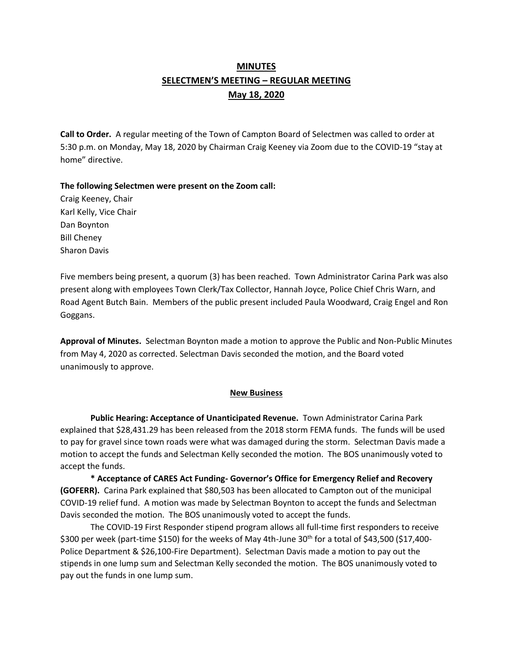# **MINUTES SELECTMEN'S MEETING – REGULAR MEETING May 18, 2020**

**Call to Order.** A regular meeting of the Town of Campton Board of Selectmen was called to order at 5:30 p.m. on Monday, May 18, 2020 by Chairman Craig Keeney via Zoom due to the COVID-19 "stay at home" directive.

**The following Selectmen were present on the Zoom call:** 

Craig Keeney, Chair Karl Kelly, Vice Chair Dan Boynton Bill Cheney Sharon Davis

Five members being present, a quorum (3) has been reached.Town Administrator Carina Park was also present along with employees Town Clerk/Tax Collector, Hannah Joyce, Police Chief Chris Warn, and Road Agent Butch Bain. Members of the public present included Paula Woodward, Craig Engel and Ron Goggans.

**Approval of Minutes.** Selectman Boynton made a motion to approve the Public and Non-Public Minutes from May 4, 2020 as corrected. Selectman Davis seconded the motion, and the Board voted unanimously to approve.

## **New Business**

**Public Hearing: Acceptance of Unanticipated Revenue.** Town Administrator Carina Park explained that \$28,431.29 has been released from the 2018 storm FEMA funds. The funds will be used to pay for gravel since town roads were what was damaged during the storm. Selectman Davis made a motion to accept the funds and Selectman Kelly seconded the motion. The BOS unanimously voted to accept the funds.

**\* Acceptance of CARES Act Funding- Governor's Office for Emergency Relief and Recovery (GOFERR).** Carina Park explained that \$80,503 has been allocated to Campton out of the municipal COVID-19 relief fund. A motion was made by Selectman Boynton to accept the funds and Selectman Davis seconded the motion. The BOS unanimously voted to accept the funds.

The COVID-19 First Responder stipend program allows all full-time first responders to receive \$300 per week (part-time \$150) for the weeks of May 4th-June 30<sup>th</sup> for a total of \$43,500 (\$17,400-Police Department & \$26,100-Fire Department). Selectman Davis made a motion to pay out the stipends in one lump sum and Selectman Kelly seconded the motion. The BOS unanimously voted to pay out the funds in one lump sum.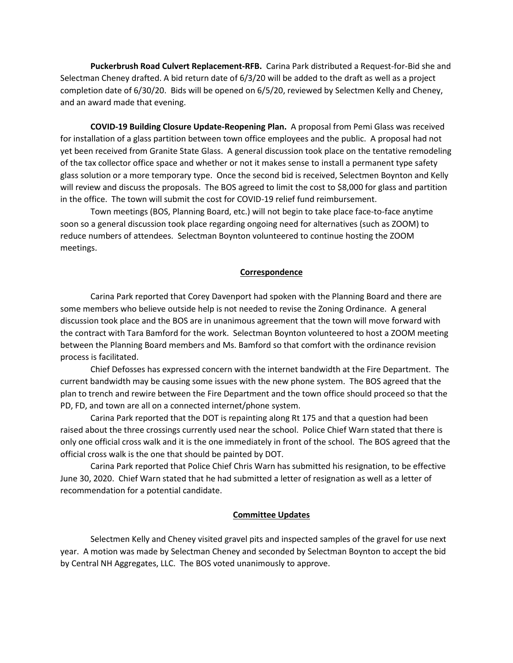**Puckerbrush Road Culvert Replacement-RFB.** Carina Park distributed a Request-for-Bid she and Selectman Cheney drafted. A bid return date of 6/3/20 will be added to the draft as well as a project completion date of 6/30/20. Bids will be opened on 6/5/20, reviewed by Selectmen Kelly and Cheney, and an award made that evening.

**COVID-19 Building Closure Update-Reopening Plan.** A proposal from Pemi Glass was received for installation of a glass partition between town office employees and the public. A proposal had not yet been received from Granite State Glass. A general discussion took place on the tentative remodeling of the tax collector office space and whether or not it makes sense to install a permanent type safety glass solution or a more temporary type. Once the second bid is received, Selectmen Boynton and Kelly will review and discuss the proposals. The BOS agreed to limit the cost to \$8,000 for glass and partition in the office. The town will submit the cost for COVID-19 relief fund reimbursement.

Town meetings (BOS, Planning Board, etc.) will not begin to take place face-to-face anytime soon so a general discussion took place regarding ongoing need for alternatives (such as ZOOM) to reduce numbers of attendees. Selectman Boynton volunteered to continue hosting the ZOOM meetings.

#### **Correspondence**

Carina Park reported that Corey Davenport had spoken with the Planning Board and there are some members who believe outside help is not needed to revise the Zoning Ordinance. A general discussion took place and the BOS are in unanimous agreement that the town will move forward with the contract with Tara Bamford for the work. Selectman Boynton volunteered to host a ZOOM meeting between the Planning Board members and Ms. Bamford so that comfort with the ordinance revision process is facilitated.

Chief Defosses has expressed concern with the internet bandwidth at the Fire Department. The current bandwidth may be causing some issues with the new phone system. The BOS agreed that the plan to trench and rewire between the Fire Department and the town office should proceed so that the PD, FD, and town are all on a connected internet/phone system.

Carina Park reported that the DOT is repainting along Rt 175 and that a question had been raised about the three crossings currently used near the school. Police Chief Warn stated that there is only one official cross walk and it is the one immediately in front of the school. The BOS agreed that the official cross walk is the one that should be painted by DOT.

Carina Park reported that Police Chief Chris Warn has submitted his resignation, to be effective June 30, 2020. Chief Warn stated that he had submitted a letter of resignation as well as a letter of recommendation for a potential candidate.

### **Committee Updates**

Selectmen Kelly and Cheney visited gravel pits and inspected samples of the gravel for use next year. A motion was made by Selectman Cheney and seconded by Selectman Boynton to accept the bid by Central NH Aggregates, LLC. The BOS voted unanimously to approve.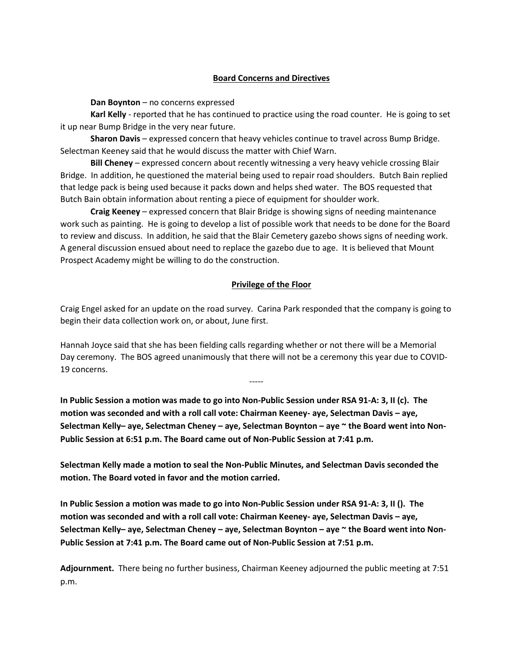## **Board Concerns and Directives**

**Dan Boynton** – no concerns expressed

**Karl Kelly** - reported that he has continued to practice using the road counter. He is going to set it up near Bump Bridge in the very near future.

**Sharon Davis** – expressed concern that heavy vehicles continue to travel across Bump Bridge. Selectman Keeney said that he would discuss the matter with Chief Warn.

**Bill Cheney** – expressed concern about recently witnessing a very heavy vehicle crossing Blair Bridge. In addition, he questioned the material being used to repair road shoulders. Butch Bain replied that ledge pack is being used because it packs down and helps shed water. The BOS requested that Butch Bain obtain information about renting a piece of equipment for shoulder work.

**Craig Keeney** – expressed concern that Blair Bridge is showing signs of needing maintenance work such as painting. He is going to develop a list of possible work that needs to be done for the Board to review and discuss. In addition, he said that the Blair Cemetery gazebo shows signs of needing work. A general discussion ensued about need to replace the gazebo due to age. It is believed that Mount Prospect Academy might be willing to do the construction.

## **Privilege of the Floor**

Craig Engel asked for an update on the road survey. Carina Park responded that the company is going to begin their data collection work on, or about, June first.

Hannah Joyce said that she has been fielding calls regarding whether or not there will be a Memorial Day ceremony. The BOS agreed unanimously that there will not be a ceremony this year due to COVID-19 concerns.

-----

**In Public Session a motion was made to go into Non-Public Session under RSA 91-A: 3, II (c). The motion was seconded and with a roll call vote: Chairman Keeney- aye, Selectman Davis – aye, Selectman Kelly– aye, Selectman Cheney – aye, Selectman Boynton – aye ~ the Board went into Non-Public Session at 6:51 p.m. The Board came out of Non-Public Session at 7:41 p.m.**

**Selectman Kelly made a motion to seal the Non-Public Minutes, and Selectman Davis seconded the motion. The Board voted in favor and the motion carried.**

**In Public Session a motion was made to go into Non-Public Session under RSA 91-A: 3, II (). The motion was seconded and with a roll call vote: Chairman Keeney- aye, Selectman Davis – aye, Selectman Kelly– aye, Selectman Cheney – aye, Selectman Boynton – aye ~ the Board went into Non-Public Session at 7:41 p.m. The Board came out of Non-Public Session at 7:51 p.m.** 

**Adjournment.** There being no further business, Chairman Keeney adjourned the public meeting at 7:51 p.m.